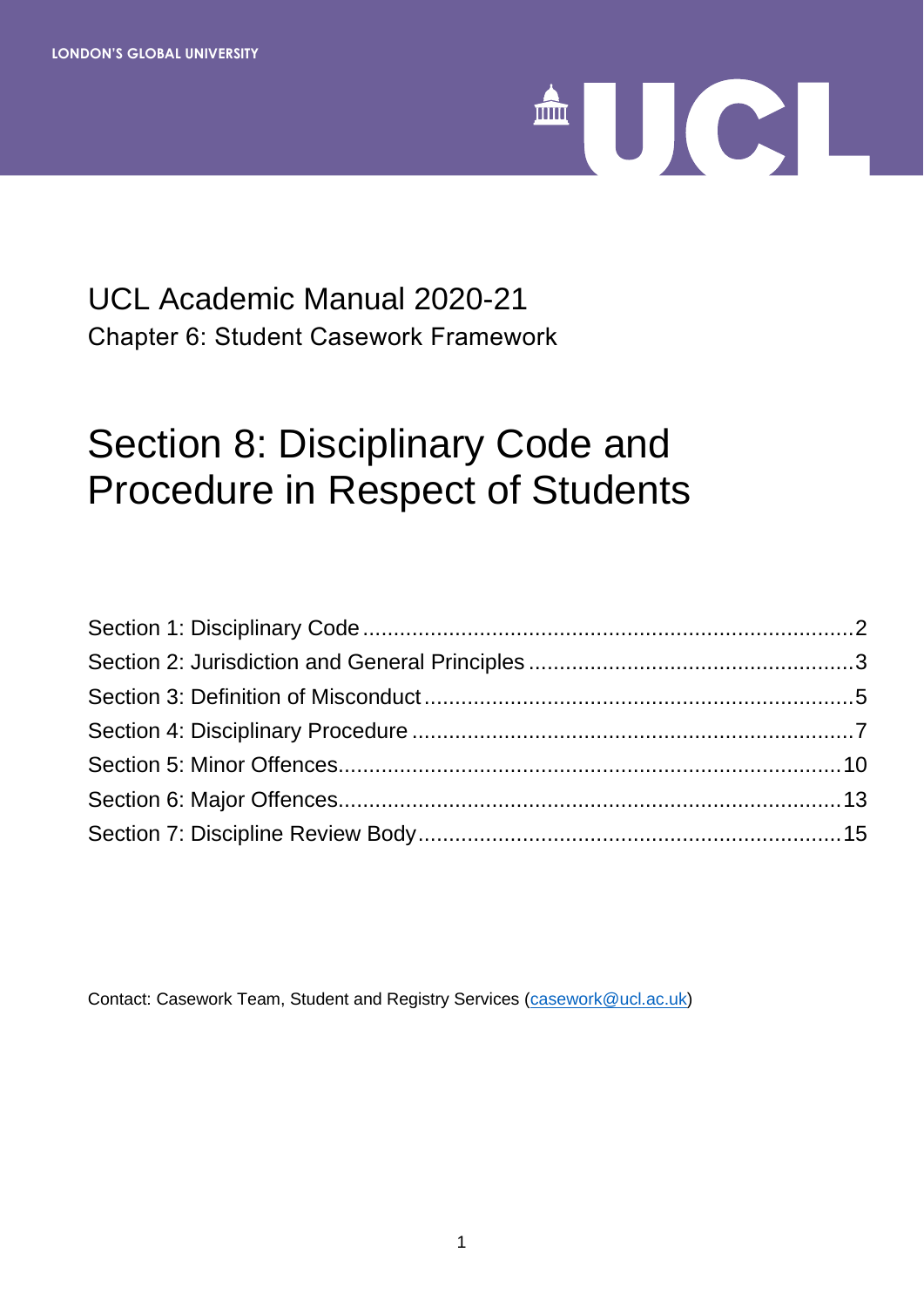

# UCL Academic Manual 2020-21 Chapter 6: Student Casework Framework

# Section 8: Disciplinary Code and Procedure in Respect of Students

Contact: Casework Team, Student and Registry Services [\(casework@ucl.ac.uk\)](mailto:casework@ucl.ac.uk)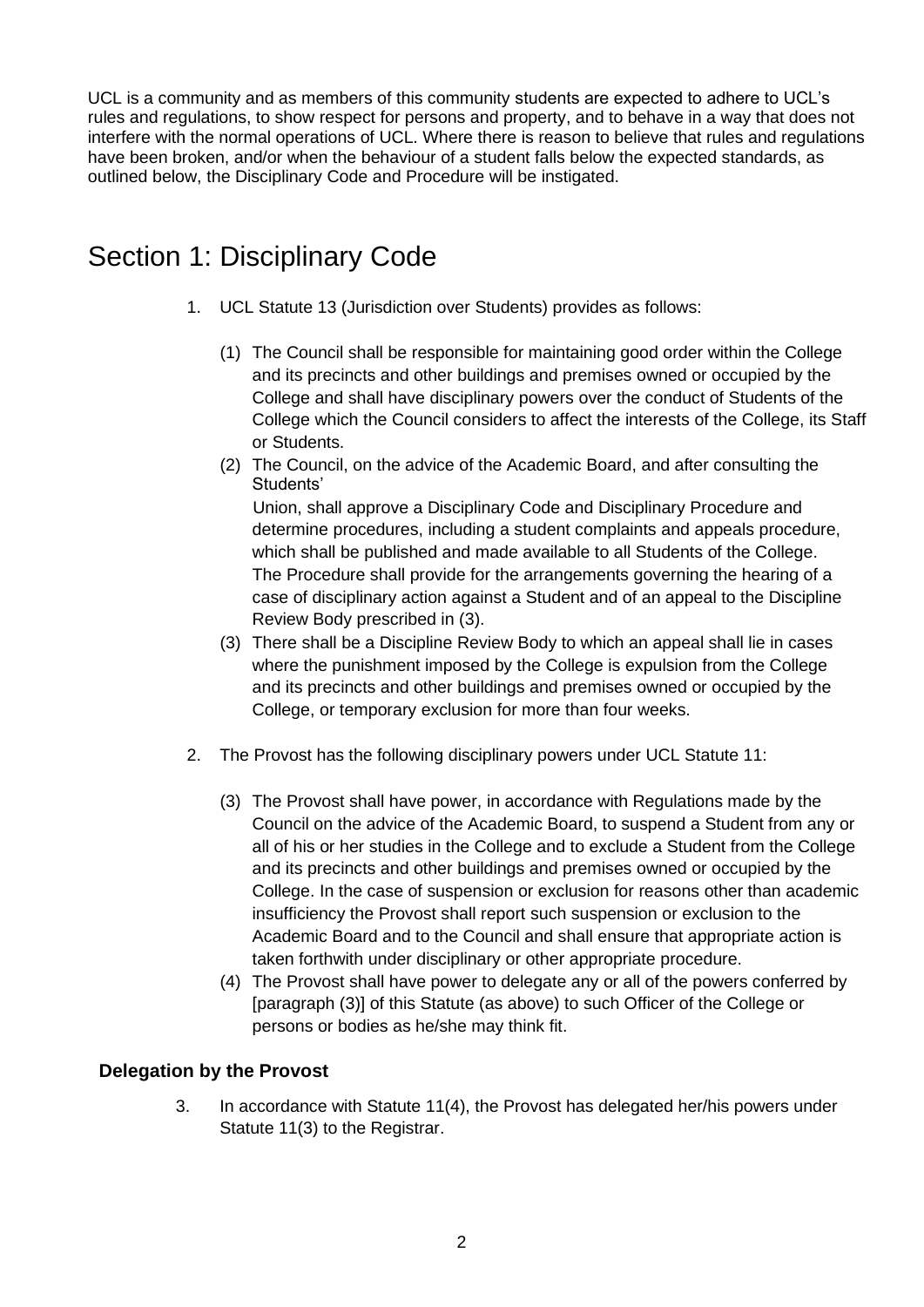UCL is a community and as members of this community students are expected to adhere to UCL's rules and regulations, to show respect for persons and property, and to behave in a way that does not interfere with the normal operations of UCL. Where there is reason to believe that rules and regulations have been broken, and/or when the behaviour of a student falls below the expected standards, as outlined below, the Disciplinary Code and Procedure will be instigated.

# <span id="page-1-0"></span>Section 1: Disciplinary Code

- 1. UCL Statute 13 (Jurisdiction over Students) provides as follows:
	- (1) The Council shall be responsible for maintaining good order within the College and its precincts and other buildings and premises owned or occupied by the College and shall have disciplinary powers over the conduct of Students of the College which the Council considers to affect the interests of the College, its Staff or Students.
	- (2) The Council, on the advice of the Academic Board, and after consulting the Students'

Union, shall approve a Disciplinary Code and Disciplinary Procedure and determine procedures, including a student complaints and appeals procedure, which shall be published and made available to all Students of the College. The Procedure shall provide for the arrangements governing the hearing of a case of disciplinary action against a Student and of an appeal to the Discipline Review Body prescribed in (3).

- (3) There shall be a Discipline Review Body to which an appeal shall lie in cases where the punishment imposed by the College is expulsion from the College and its precincts and other buildings and premises owned or occupied by the College, or temporary exclusion for more than four weeks.
- 2. The Provost has the following disciplinary powers under UCL Statute 11:
	- (3) The Provost shall have power, in accordance with Regulations made by the Council on the advice of the Academic Board, to suspend a Student from any or all of his or her studies in the College and to exclude a Student from the College and its precincts and other buildings and premises owned or occupied by the College. In the case of suspension or exclusion for reasons other than academic insufficiency the Provost shall report such suspension or exclusion to the Academic Board and to the Council and shall ensure that appropriate action is taken forthwith under disciplinary or other appropriate procedure.
	- (4) The Provost shall have power to delegate any or all of the powers conferred by [paragraph (3)] of this Statute (as above) to such Officer of the College or persons or bodies as he/she may think fit.

#### **Delegation by the Provost**

3. In accordance with Statute 11(4), the Provost has delegated her/his powers under Statute 11(3) to the Registrar.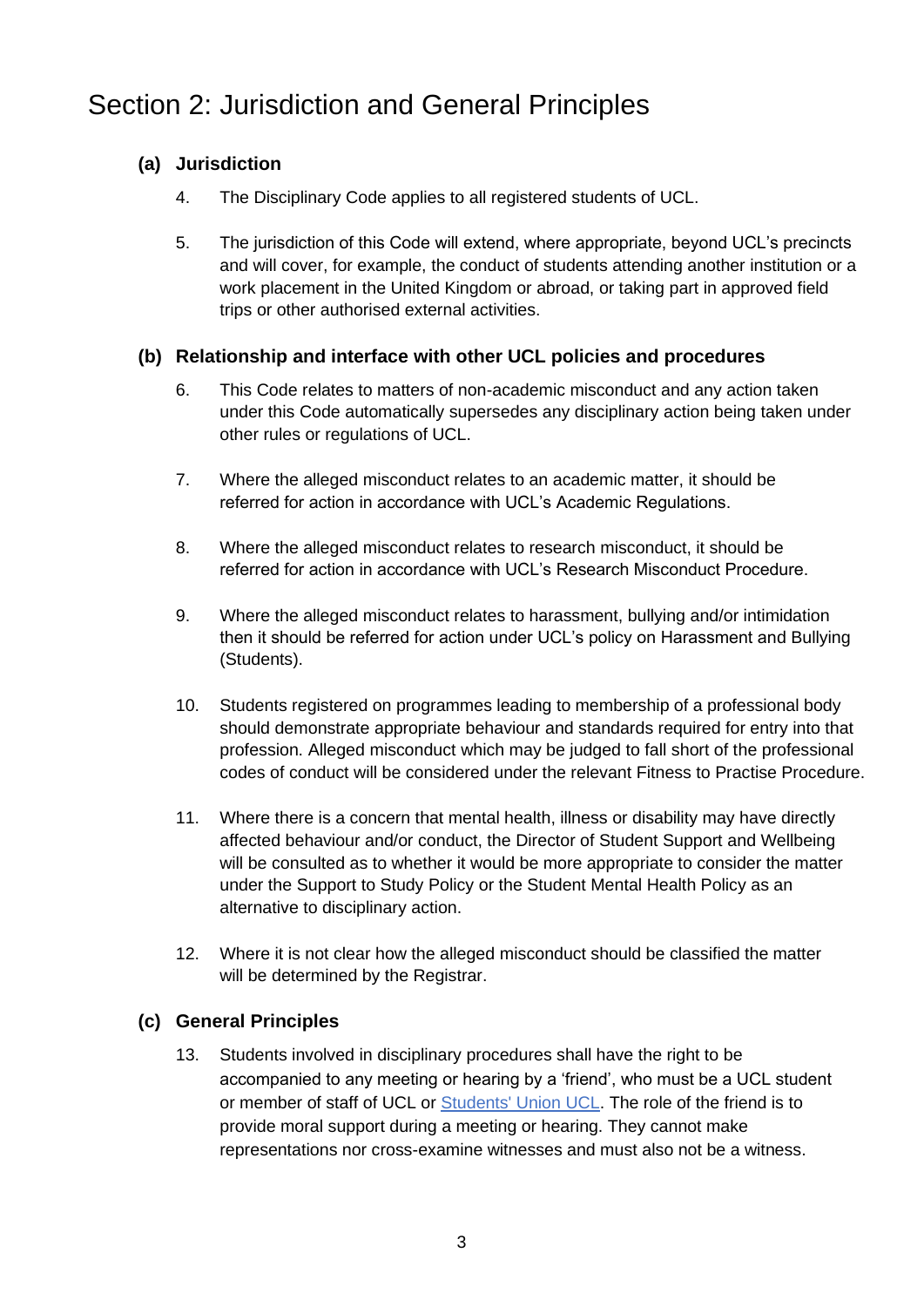# <span id="page-2-0"></span>Section 2: Jurisdiction and General Principles

### **(a) Jurisdiction**

- 4. The Disciplinary Code applies to all registered students of UCL.
- 5. The jurisdiction of this Code will extend, where appropriate, beyond UCL's precincts and will cover, for example, the conduct of students attending another institution or a work placement in the United Kingdom or abroad, or taking part in approved field trips or other authorised external activities.

#### **(b) Relationship and interface with other UCL policies and procedures**

- 6. This Code relates to matters of non-academic misconduct and any action taken under this Code automatically supersedes any disciplinary action being taken under other rules or regulations of UCL.
- 7. Where the alleged misconduct relates to an academic matter, it should be referred for action in accordance with UCL's Academic Regulations.
- 8. Where the alleged misconduct relates to research misconduct, it should be referred for action in accordance with UCL's Research Misconduct Procedure.
- 9. Where the alleged misconduct relates to harassment, bullying and/or intimidation then it should be referred for action under UCL's policy on Harassment and Bullying (Students).
- 10. Students registered on programmes leading to membership of a professional body should demonstrate appropriate behaviour and standards required for entry into that profession. Alleged misconduct which may be judged to fall short of the professional codes of conduct will be considered under the relevant Fitness to Practise Procedure.
- 11. Where there is a concern that mental health, illness or disability may have directly affected behaviour and/or conduct, the Director of Student Support and Wellbeing will be consulted as to whether it would be more appropriate to consider the matter under the Support to Study Policy or the Student Mental Health Policy as an alternative to disciplinary action.
- 12. Where it is not clear how the alleged misconduct should be classified the matter will be determined by the Registrar.

### **(c) General Principles**

13. Students involved in disciplinary procedures shall have the right to be accompanied to any meeting or hearing by a 'friend', who must be a UCL student or member of staff of UCL or [Students' Union UCL.](http://studentsunionucl.org/) The role of the friend is to provide moral support during a meeting or hearing. They cannot make representations nor cross-examine witnesses and must also not be a witness.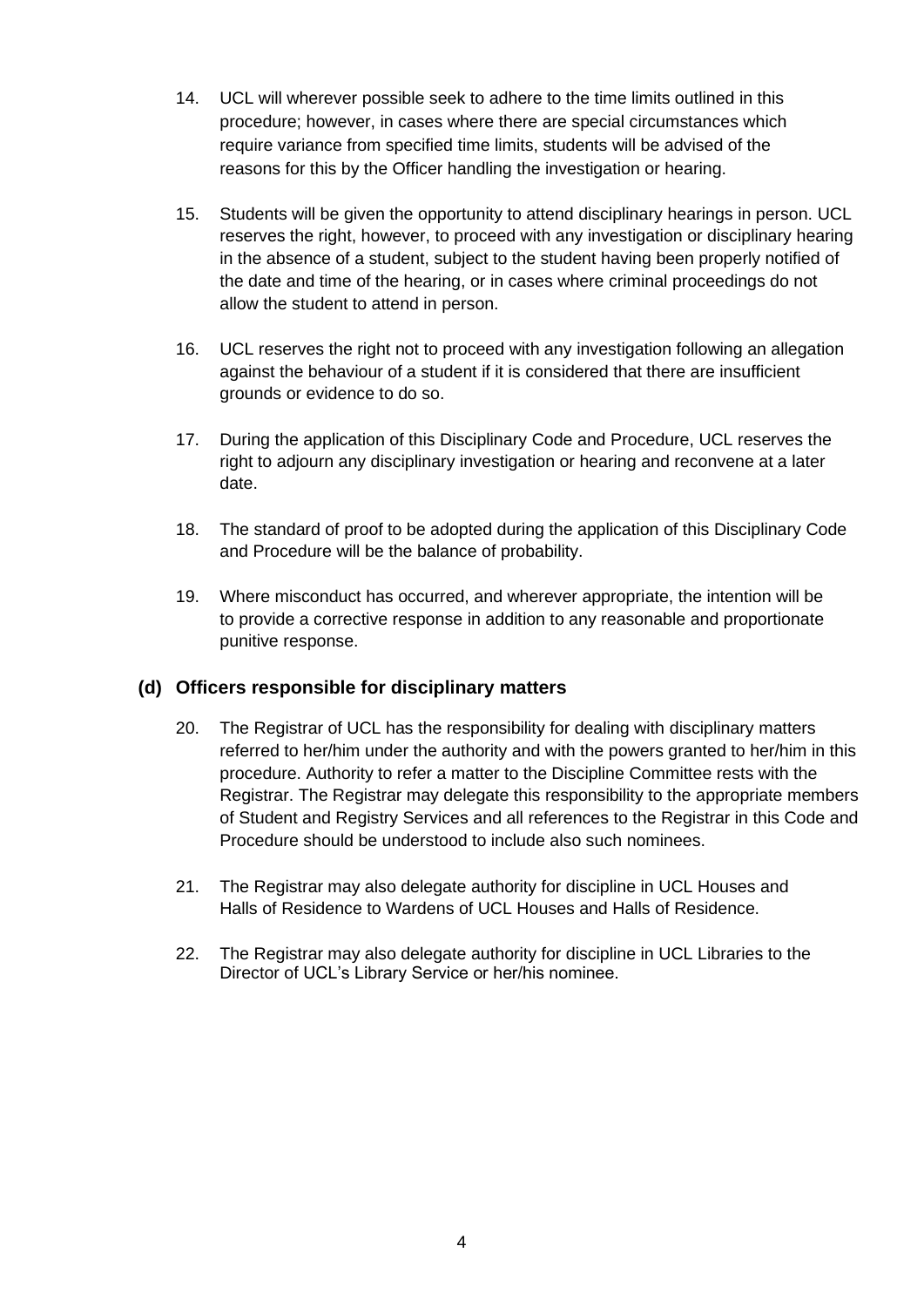- 14. UCL will wherever possible seek to adhere to the time limits outlined in this procedure; however, in cases where there are special circumstances which require variance from specified time limits, students will be advised of the reasons for this by the Officer handling the investigation or hearing.
- 15. Students will be given the opportunity to attend disciplinary hearings in person. UCL reserves the right, however, to proceed with any investigation or disciplinary hearing in the absence of a student, subject to the student having been properly notified of the date and time of the hearing, or in cases where criminal proceedings do not allow the student to attend in person.
- 16. UCL reserves the right not to proceed with any investigation following an allegation against the behaviour of a student if it is considered that there are insufficient grounds or evidence to do so.
- 17. During the application of this Disciplinary Code and Procedure, UCL reserves the right to adjourn any disciplinary investigation or hearing and reconvene at a later date.
- 18. The standard of proof to be adopted during the application of this Disciplinary Code and Procedure will be the balance of probability.
- 19. Where misconduct has occurred, and wherever appropriate, the intention will be to provide a corrective response in addition to any reasonable and proportionate punitive response.

#### **(d) Officers responsible for disciplinary matters**

- 20. The Registrar of UCL has the responsibility for dealing with disciplinary matters referred to her/him under the authority and with the powers granted to her/him in this procedure. Authority to refer a matter to the Discipline Committee rests with the Registrar. The Registrar may delegate this responsibility to the appropriate members of Student and Registry Services and all references to the Registrar in this Code and Procedure should be understood to include also such nominees.
- 21. The Registrar may also delegate authority for discipline in UCL Houses and Halls of Residence to Wardens of UCL Houses and Halls of Residence.
- 22. The Registrar may also delegate authority for discipline in UCL Libraries to the Director of UCL's Library Service or her/his nominee.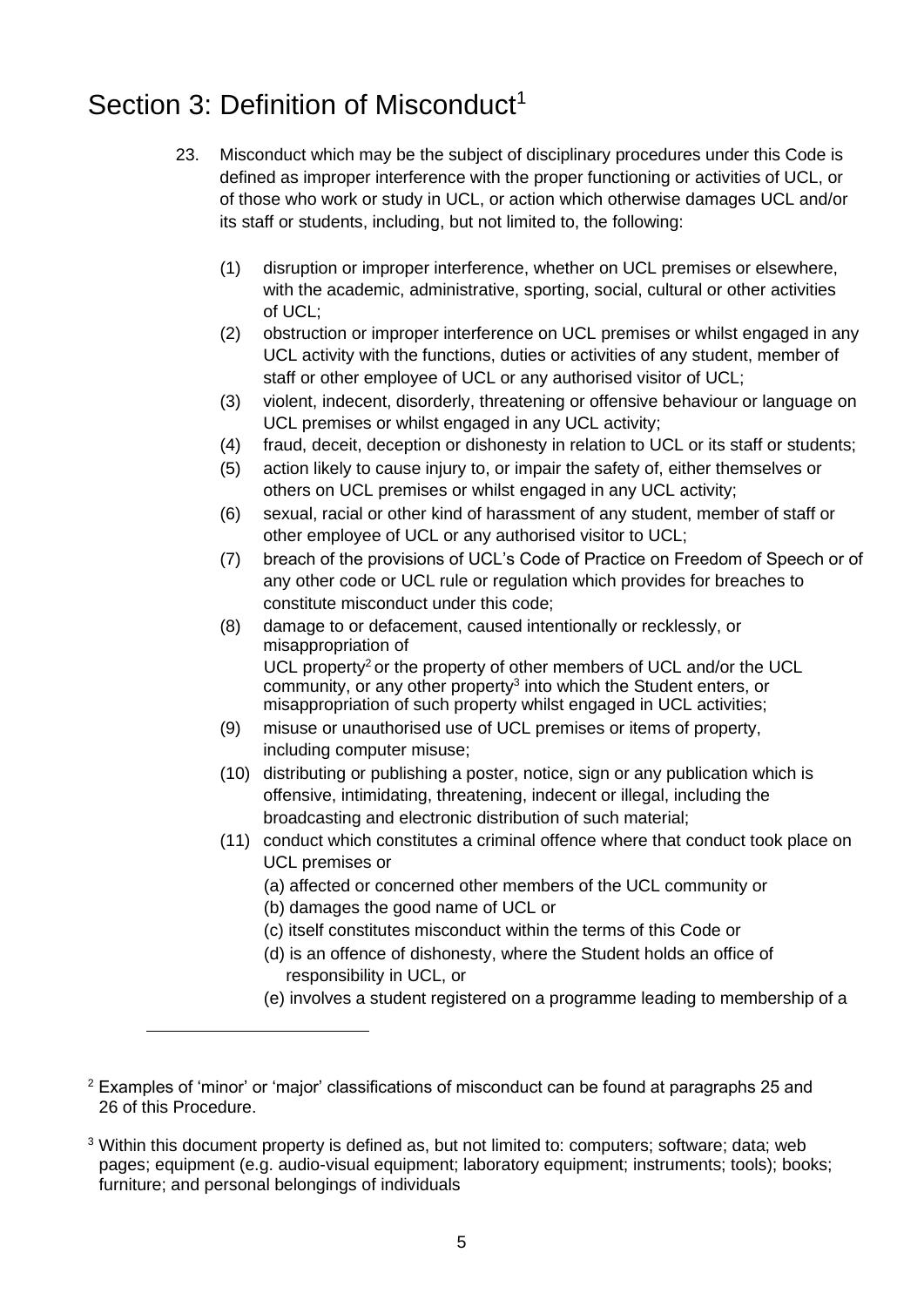# <span id="page-4-0"></span>Section 3: Definition of Misconduct<sup>1</sup>

- 23. Misconduct which may be the subject of disciplinary procedures under this Code is defined as improper interference with the proper functioning or activities of UCL, or of those who work or study in UCL, or action which otherwise damages UCL and/or its staff or students, including, but not limited to, the following:
	- (1) disruption or improper interference, whether on UCL premises or elsewhere, with the academic, administrative, sporting, social, cultural or other activities of UCL;
	- (2) obstruction or improper interference on UCL premises or whilst engaged in any UCL activity with the functions, duties or activities of any student, member of staff or other employee of UCL or any authorised visitor of UCL;
	- (3) violent, indecent, disorderly, threatening or offensive behaviour or language on UCL premises or whilst engaged in any UCL activity;
	- (4) fraud, deceit, deception or dishonesty in relation to UCL or its staff or students;
	- (5) action likely to cause injury to, or impair the safety of, either themselves or others on UCL premises or whilst engaged in any UCL activity;
	- (6) sexual, racial or other kind of harassment of any student, member of staff or other employee of UCL or any authorised visitor to UCL;
	- (7) breach of the provisions of UCL's Code of Practice on Freedom of Speech or of any other code or UCL rule or regulation which provides for breaches to constitute misconduct under this code;
	- (8) damage to or defacement, caused intentionally or recklessly, or misappropriation of UCL property<sup>2</sup> or the property of other members of UCL and/or the UCL community, or any other property<sup>3</sup> into which the Student enters, or misappropriation of such property whilst engaged in UCL activities;
	- (9) misuse or unauthorised use of UCL premises or items of property, including computer misuse;
	- (10) distributing or publishing a poster, notice, sign or any publication which is offensive, intimidating, threatening, indecent or illegal, including the broadcasting and electronic distribution of such material;
	- (11) conduct which constitutes a criminal offence where that conduct took place on UCL premises or
		- (a) affected or concerned other members of the UCL community or
		- (b) damages the good name of UCL or
		- (c) itself constitutes misconduct within the terms of this Code or
		- (d) is an offence of dishonesty, where the Student holds an office of responsibility in UCL, or
		- (e) involves a student registered on a programme leading to membership of a

<sup>&</sup>lt;sup>2</sup> Examples of 'minor' or 'major' classifications of misconduct can be found at paragraphs 25 and 26 of this Procedure.

<sup>3</sup> Within this document property is defined as, but not limited to: computers; software; data; web pages; equipment (e.g. audio-visual equipment; laboratory equipment; instruments; tools); books; furniture; and personal belongings of individuals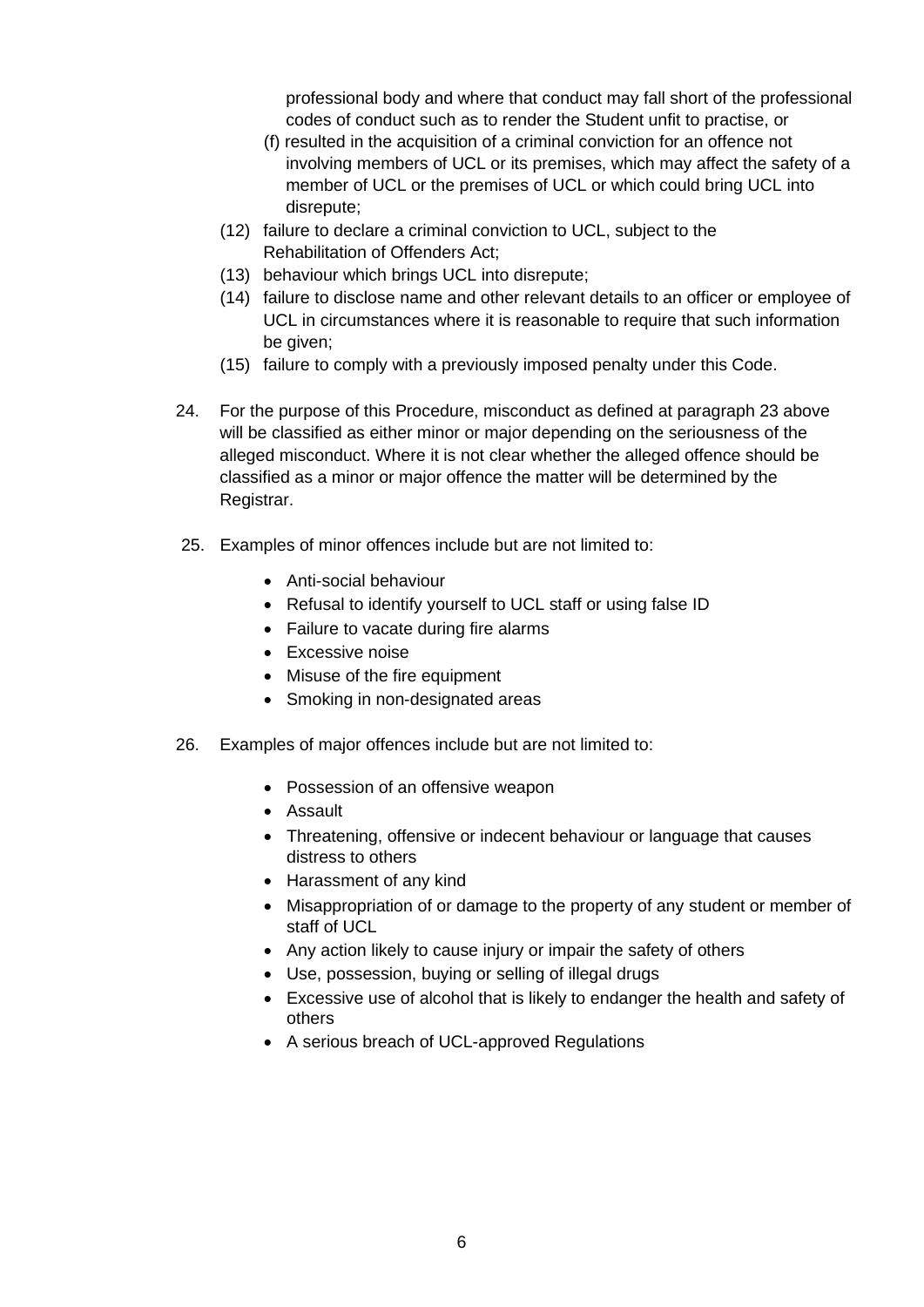professional body and where that conduct may fall short of the professional codes of conduct such as to render the Student unfit to practise, or

- (f) resulted in the acquisition of a criminal conviction for an offence not involving members of UCL or its premises, which may affect the safety of a member of UCL or the premises of UCL or which could bring UCL into disrepute;
- (12) failure to declare a criminal conviction to UCL, subject to the Rehabilitation of Offenders Act;
- (13) behaviour which brings UCL into disrepute;
- (14) failure to disclose name and other relevant details to an officer or employee of UCL in circumstances where it is reasonable to require that such information be given;
- (15) failure to comply with a previously imposed penalty under this Code.
- 24. For the purpose of this Procedure, misconduct as defined at paragraph 23 above will be classified as either minor or major depending on the seriousness of the alleged misconduct. Where it is not clear whether the alleged offence should be classified as a minor or major offence the matter will be determined by the Registrar.
- 25. Examples of minor offences include but are not limited to:
	- Anti-social behaviour
	- Refusal to identify yourself to UCL staff or using false ID
	- Failure to vacate during fire alarms
	- Excessive noise
	- Misuse of the fire equipment
	- Smoking in non-designated areas
- 26. Examples of major offences include but are not limited to:
	- Possession of an offensive weapon
	- Assault
	- Threatening, offensive or indecent behaviour or language that causes distress to others
	- Harassment of any kind
	- Misappropriation of or damage to the property of any student or member of staff of UCL
	- Any action likely to cause injury or impair the safety of others
	- Use, possession, buying or selling of illegal drugs
	- Excessive use of alcohol that is likely to endanger the health and safety of others
	- A serious breach of UCL-approved Regulations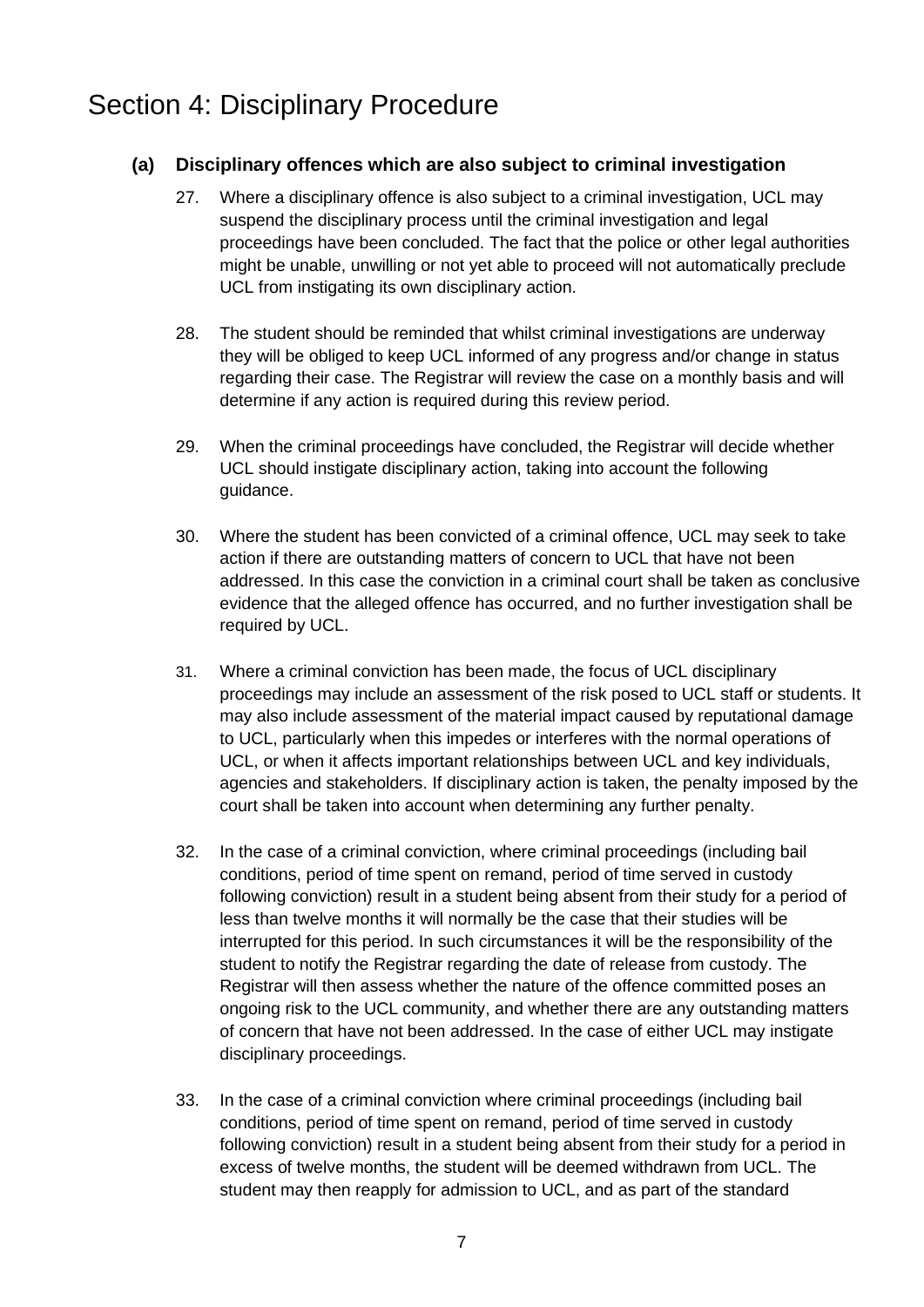### <span id="page-6-0"></span>Section 4: Disciplinary Procedure

#### **(a) Disciplinary offences which are also subject to criminal investigation**

- 27. Where a disciplinary offence is also subject to a criminal investigation, UCL may suspend the disciplinary process until the criminal investigation and legal proceedings have been concluded. The fact that the police or other legal authorities might be unable, unwilling or not yet able to proceed will not automatically preclude UCL from instigating its own disciplinary action.
- 28. The student should be reminded that whilst criminal investigations are underway they will be obliged to keep UCL informed of any progress and/or change in status regarding their case. The Registrar will review the case on a monthly basis and will determine if any action is required during this review period.
- 29. When the criminal proceedings have concluded, the Registrar will decide whether UCL should instigate disciplinary action, taking into account the following guidance.
- 30. Where the student has been convicted of a criminal offence, UCL may seek to take action if there are outstanding matters of concern to UCL that have not been addressed. In this case the conviction in a criminal court shall be taken as conclusive evidence that the alleged offence has occurred, and no further investigation shall be required by UCL.
- 31. Where a criminal conviction has been made, the focus of UCL disciplinary proceedings may include an assessment of the risk posed to UCL staff or students. It may also include assessment of the material impact caused by reputational damage to UCL, particularly when this impedes or interferes with the normal operations of UCL, or when it affects important relationships between UCL and key individuals, agencies and stakeholders. If disciplinary action is taken, the penalty imposed by the court shall be taken into account when determining any further penalty.
- 32. In the case of a criminal conviction, where criminal proceedings (including bail conditions, period of time spent on remand, period of time served in custody following conviction) result in a student being absent from their study for a period of less than twelve months it will normally be the case that their studies will be interrupted for this period. In such circumstances it will be the responsibility of the student to notify the Registrar regarding the date of release from custody. The Registrar will then assess whether the nature of the offence committed poses an ongoing risk to the UCL community, and whether there are any outstanding matters of concern that have not been addressed. In the case of either UCL may instigate disciplinary proceedings.
- 33. In the case of a criminal conviction where criminal proceedings (including bail conditions, period of time spent on remand, period of time served in custody following conviction) result in a student being absent from their study for a period in excess of twelve months, the student will be deemed withdrawn from UCL. The student may then reapply for admission to UCL, and as part of the standard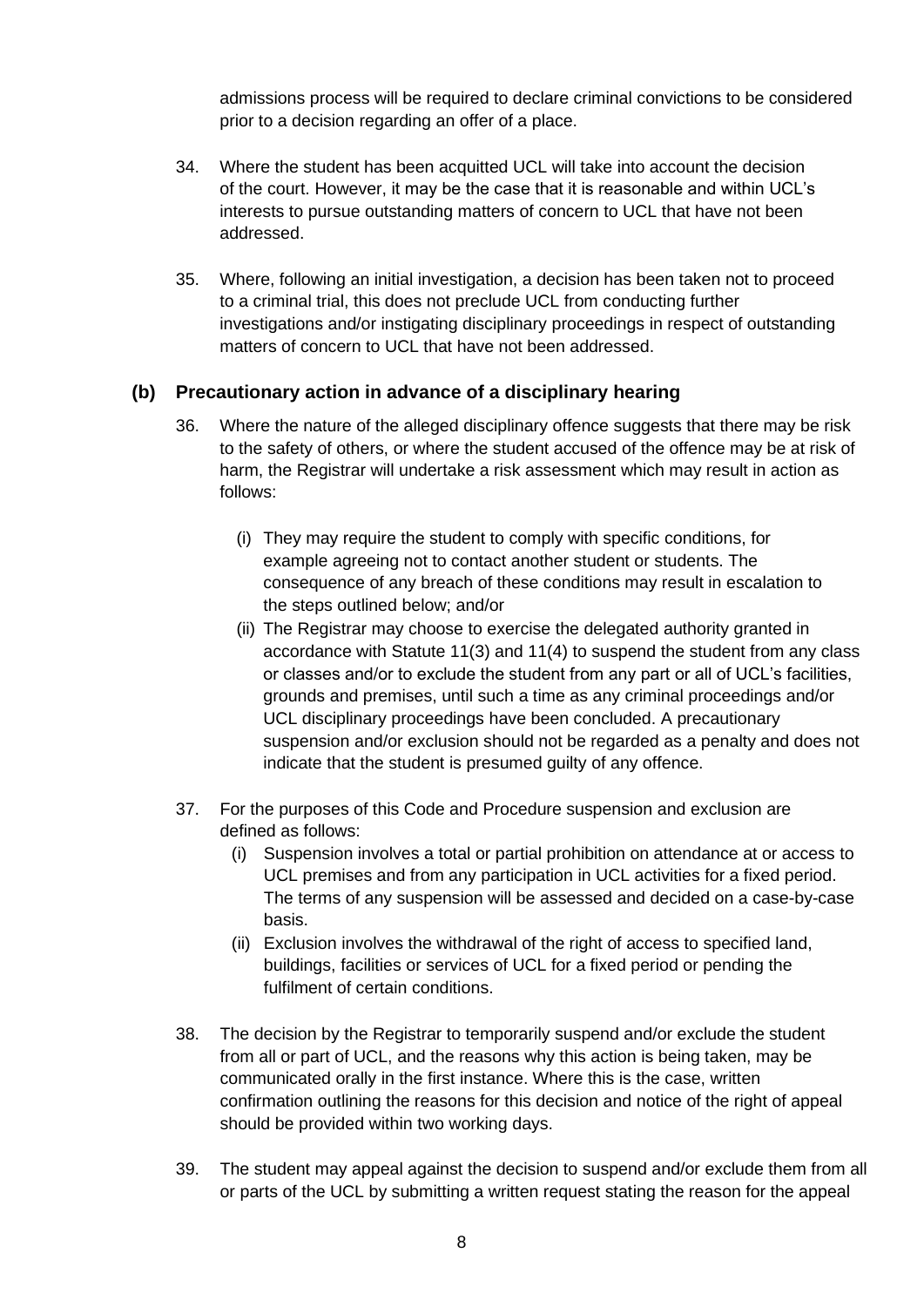admissions process will be required to declare criminal convictions to be considered prior to a decision regarding an offer of a place.

- 34. Where the student has been acquitted UCL will take into account the decision of the court. However, it may be the case that it is reasonable and within UCL's interests to pursue outstanding matters of concern to UCL that have not been addressed.
- 35. Where, following an initial investigation, a decision has been taken not to proceed to a criminal trial, this does not preclude UCL from conducting further investigations and/or instigating disciplinary proceedings in respect of outstanding matters of concern to UCL that have not been addressed.

#### **(b) Precautionary action in advance of a disciplinary hearing**

- 36. Where the nature of the alleged disciplinary offence suggests that there may be risk to the safety of others, or where the student accused of the offence may be at risk of harm, the Registrar will undertake a risk assessment which may result in action as follows:
	- (i) They may require the student to comply with specific conditions, for example agreeing not to contact another student or students. The consequence of any breach of these conditions may result in escalation to the steps outlined below; and/or
	- (ii) The Registrar may choose to exercise the delegated authority granted in accordance with Statute 11(3) and 11(4) to suspend the student from any class or classes and/or to exclude the student from any part or all of UCL's facilities, grounds and premises, until such a time as any criminal proceedings and/or UCL disciplinary proceedings have been concluded. A precautionary suspension and/or exclusion should not be regarded as a penalty and does not indicate that the student is presumed guilty of any offence.
- 37. For the purposes of this Code and Procedure suspension and exclusion are defined as follows:
	- (i) Suspension involves a total or partial prohibition on attendance at or access to UCL premises and from any participation in UCL activities for a fixed period. The terms of any suspension will be assessed and decided on a case-by-case basis.
	- (ii) Exclusion involves the withdrawal of the right of access to specified land, buildings, facilities or services of UCL for a fixed period or pending the fulfilment of certain conditions.
- 38. The decision by the Registrar to temporarily suspend and/or exclude the student from all or part of UCL, and the reasons why this action is being taken, may be communicated orally in the first instance. Where this is the case, written confirmation outlining the reasons for this decision and notice of the right of appeal should be provided within two working days.
- 39. The student may appeal against the decision to suspend and/or exclude them from all or parts of the UCL by submitting a written request stating the reason for the appeal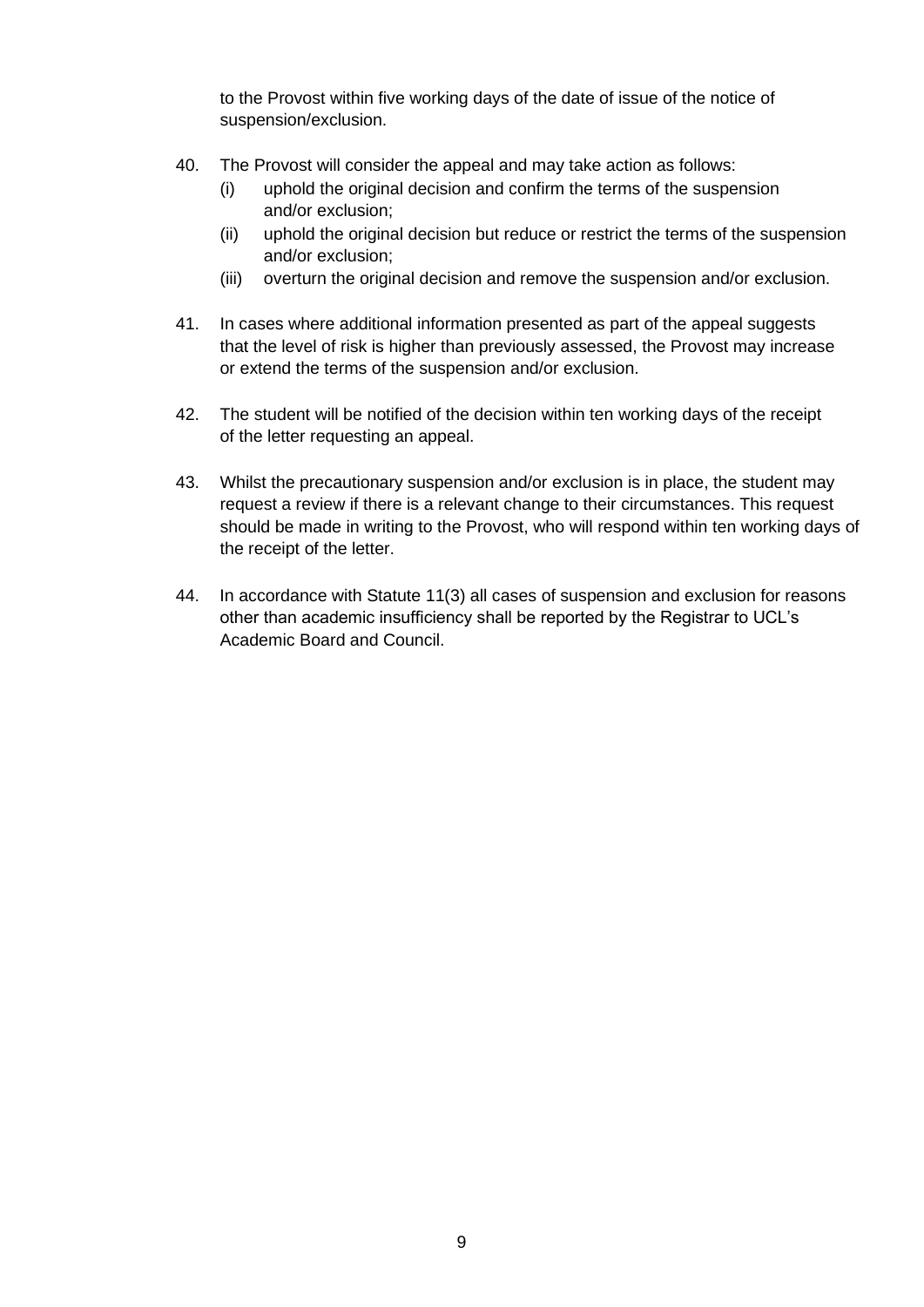to the Provost within five working days of the date of issue of the notice of suspension/exclusion.

- 40. The Provost will consider the appeal and may take action as follows:
	- (i) uphold the original decision and confirm the terms of the suspension and/or exclusion;
	- (ii) uphold the original decision but reduce or restrict the terms of the suspension and/or exclusion;
	- (iii) overturn the original decision and remove the suspension and/or exclusion.
- 41. In cases where additional information presented as part of the appeal suggests that the level of risk is higher than previously assessed, the Provost may increase or extend the terms of the suspension and/or exclusion.
- 42. The student will be notified of the decision within ten working days of the receipt of the letter requesting an appeal.
- 43. Whilst the precautionary suspension and/or exclusion is in place, the student may request a review if there is a relevant change to their circumstances. This request should be made in writing to the Provost, who will respond within ten working days of the receipt of the letter.
- 44. In accordance with Statute 11(3) all cases of suspension and exclusion for reasons other than academic insufficiency shall be reported by the Registrar to UCL's Academic Board and Council.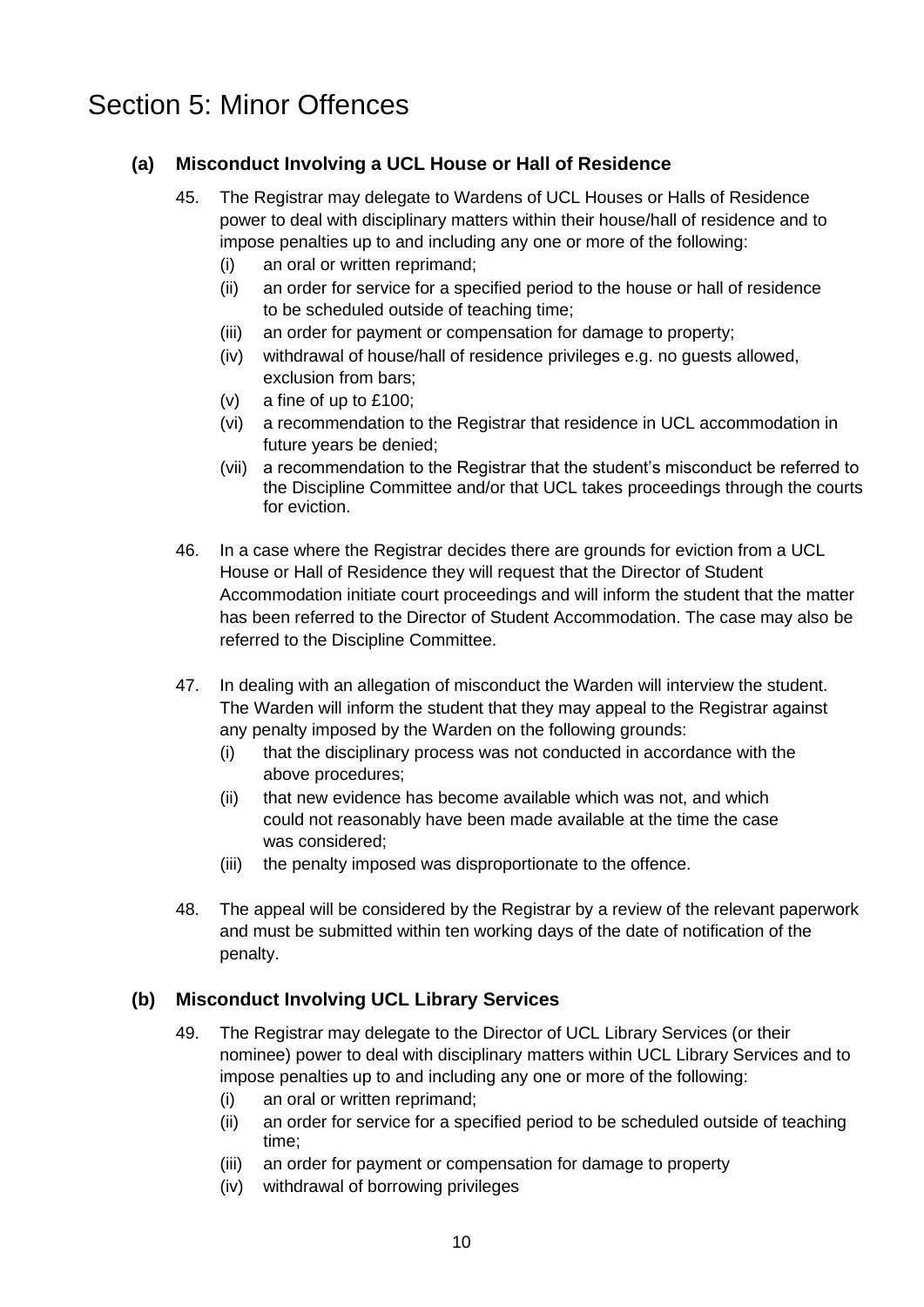### <span id="page-9-0"></span>Section 5: Minor Offences

#### **(a) Misconduct Involving a UCL House or Hall of Residence**

- 45. The Registrar may delegate to Wardens of UCL Houses or Halls of Residence power to deal with disciplinary matters within their house/hall of residence and to impose penalties up to and including any one or more of the following:
	- (i) an oral or written reprimand;
	- (ii) an order for service for a specified period to the house or hall of residence to be scheduled outside of teaching time;
	- (iii) an order for payment or compensation for damage to property;
	- (iv) withdrawal of house/hall of residence privileges e.g. no guests allowed, exclusion from bars;
	- (v) a fine of up to £100;
	- (vi) a recommendation to the Registrar that residence in UCL accommodation in future years be denied;
	- (vii) a recommendation to the Registrar that the student's misconduct be referred to the Discipline Committee and/or that UCL takes proceedings through the courts for eviction.
- 46. In a case where the Registrar decides there are grounds for eviction from a UCL House or Hall of Residence they will request that the Director of Student Accommodation initiate court proceedings and will inform the student that the matter has been referred to the Director of Student Accommodation. The case may also be referred to the Discipline Committee.
- 47. In dealing with an allegation of misconduct the Warden will interview the student. The Warden will inform the student that they may appeal to the Registrar against any penalty imposed by the Warden on the following grounds:
	- (i) that the disciplinary process was not conducted in accordance with the above procedures;
	- (ii) that new evidence has become available which was not, and which could not reasonably have been made available at the time the case was considered;
	- (iii) the penalty imposed was disproportionate to the offence.
- 48. The appeal will be considered by the Registrar by a review of the relevant paperwork and must be submitted within ten working days of the date of notification of the penalty.

#### **(b) Misconduct Involving UCL Library Services**

- 49. The Registrar may delegate to the Director of UCL Library Services (or their nominee) power to deal with disciplinary matters within UCL Library Services and to impose penalties up to and including any one or more of the following:
	- (i) an oral or written reprimand;
	- (ii) an order for service for a specified period to be scheduled outside of teaching time;
	- (iii) an order for payment or compensation for damage to property
	- (iv) withdrawal of borrowing privileges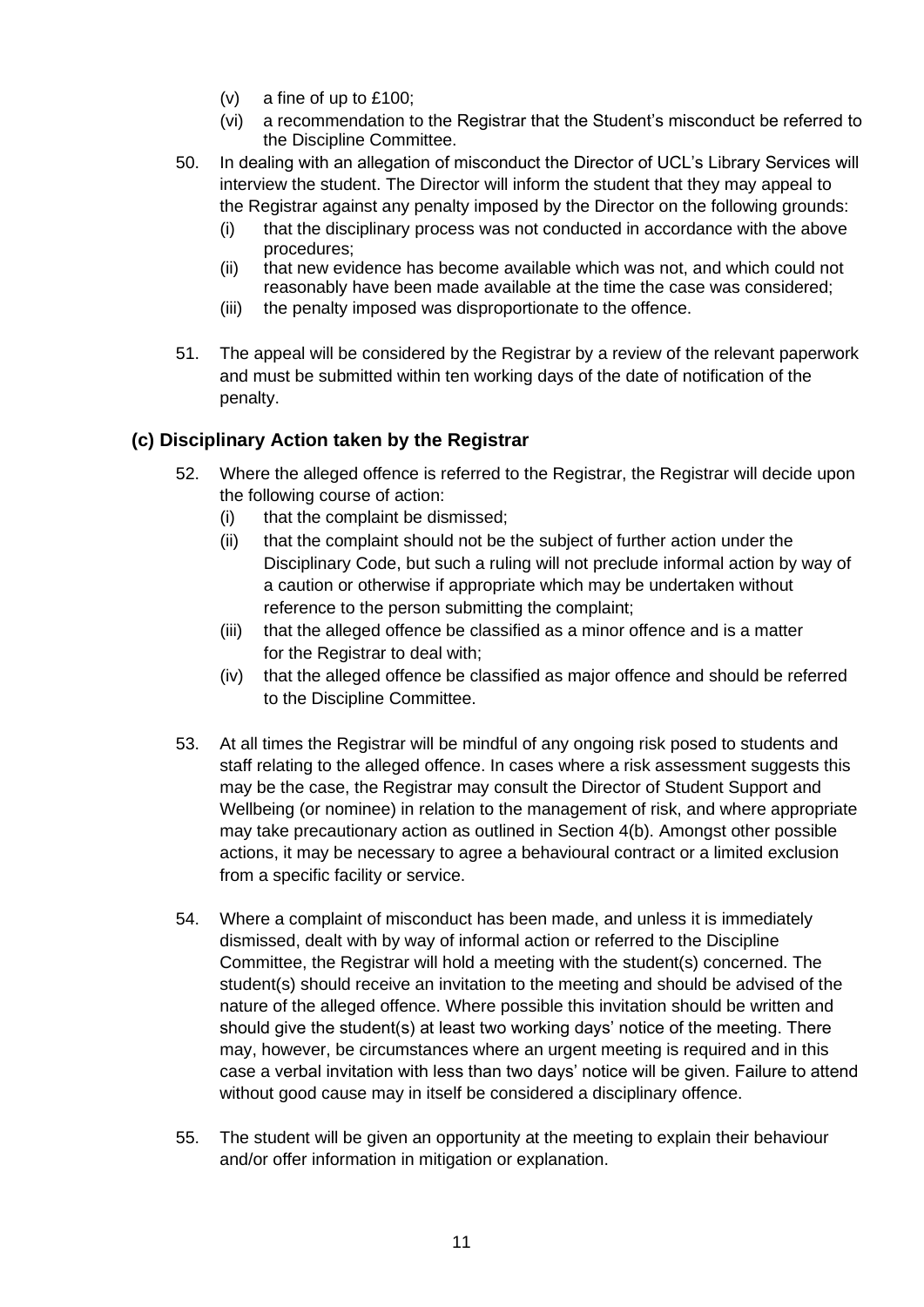- (v) a fine of up to £100;
- (vi) a recommendation to the Registrar that the Student's misconduct be referred to the Discipline Committee.
- 50. In dealing with an allegation of misconduct the Director of UCL's Library Services will interview the student. The Director will inform the student that they may appeal to the Registrar against any penalty imposed by the Director on the following grounds:
	- (i) that the disciplinary process was not conducted in accordance with the above procedures;
	- (ii) that new evidence has become available which was not, and which could not reasonably have been made available at the time the case was considered;
	- (iii) the penalty imposed was disproportionate to the offence.
- 51. The appeal will be considered by the Registrar by a review of the relevant paperwork and must be submitted within ten working days of the date of notification of the penalty.

### **(c) Disciplinary Action taken by the Registrar**

- 52. Where the alleged offence is referred to the Registrar, the Registrar will decide upon the following course of action:
	- (i) that the complaint be dismissed;
	- (ii) that the complaint should not be the subject of further action under the Disciplinary Code, but such a ruling will not preclude informal action by way of a caution or otherwise if appropriate which may be undertaken without reference to the person submitting the complaint;
	- (iii) that the alleged offence be classified as a minor offence and is a matter for the Registrar to deal with;
	- (iv) that the alleged offence be classified as major offence and should be referred to the Discipline Committee.
- 53. At all times the Registrar will be mindful of any ongoing risk posed to students and staff relating to the alleged offence. In cases where a risk assessment suggests this may be the case, the Registrar may consult the Director of Student Support and Wellbeing (or nominee) in relation to the management of risk, and where appropriate may take precautionary action as outlined in Section 4(b). Amongst other possible actions, it may be necessary to agree a behavioural contract or a limited exclusion from a specific facility or service.
- 54. Where a complaint of misconduct has been made, and unless it is immediately dismissed, dealt with by way of informal action or referred to the Discipline Committee, the Registrar will hold a meeting with the student(s) concerned. The student(s) should receive an invitation to the meeting and should be advised of the nature of the alleged offence. Where possible this invitation should be written and should give the student(s) at least two working days' notice of the meeting. There may, however, be circumstances where an urgent meeting is required and in this case a verbal invitation with less than two days' notice will be given. Failure to attend without good cause may in itself be considered a disciplinary offence.
- 55. The student will be given an opportunity at the meeting to explain their behaviour and/or offer information in mitigation or explanation.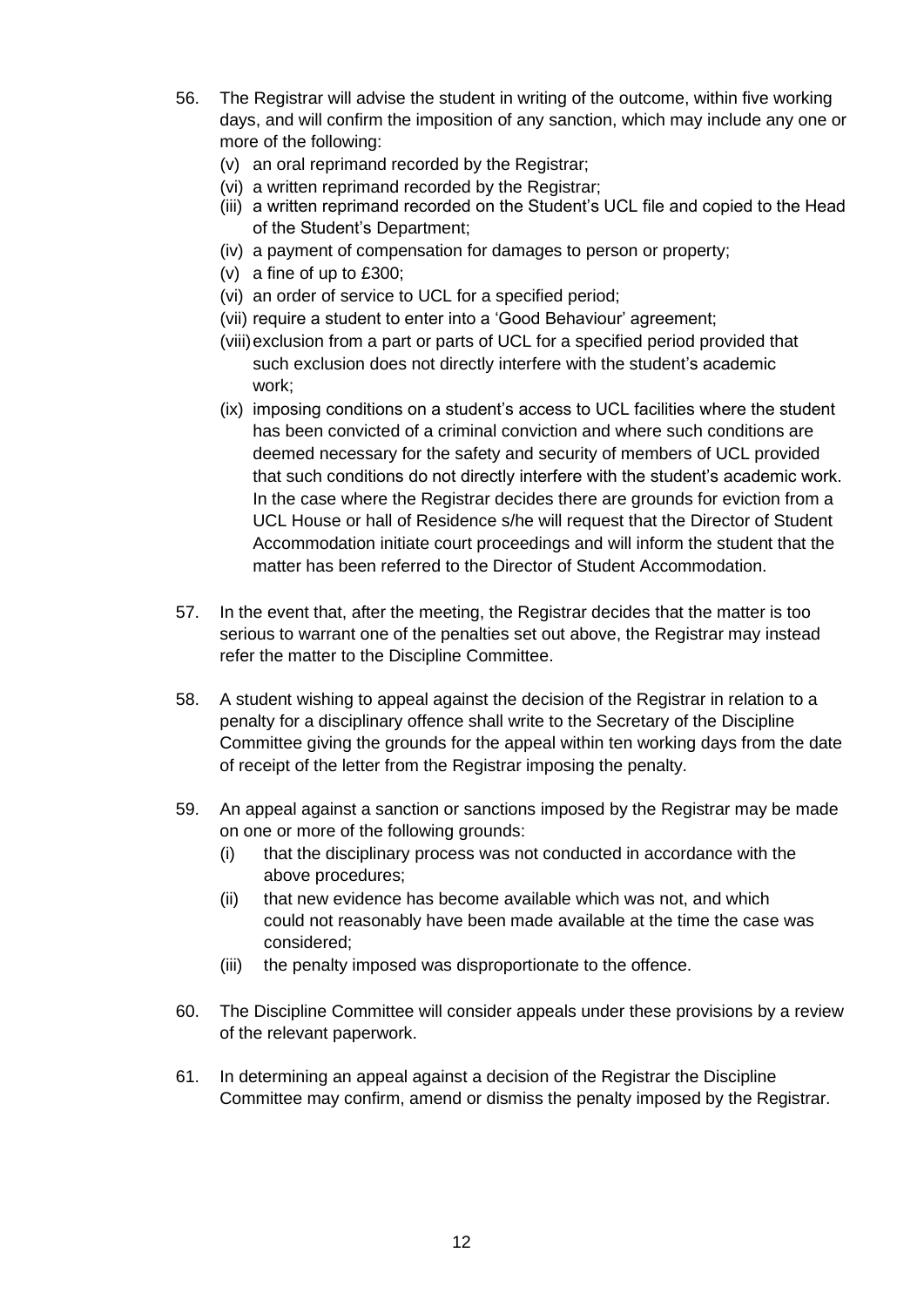- 56. The Registrar will advise the student in writing of the outcome, within five working days, and will confirm the imposition of any sanction, which may include any one or more of the following:
	- (v) an oral reprimand recorded by the Registrar;
	- (vi) a written reprimand recorded by the Registrar;
	- (iii) a written reprimand recorded on the Student's UCL file and copied to the Head of the Student's Department;
	- (iv) a payment of compensation for damages to person or property;
	- (v) a fine of up to £300;
	- (vi) an order of service to UCL for a specified period;
	- (vii) require a student to enter into a 'Good Behaviour' agreement;
	- (viii)exclusion from a part or parts of UCL for a specified period provided that such exclusion does not directly interfere with the student's academic work;
	- (ix) imposing conditions on a student's access to UCL facilities where the student has been convicted of a criminal conviction and where such conditions are deemed necessary for the safety and security of members of UCL provided that such conditions do not directly interfere with the student's academic work. In the case where the Registrar decides there are grounds for eviction from a UCL House or hall of Residence s/he will request that the Director of Student Accommodation initiate court proceedings and will inform the student that the matter has been referred to the Director of Student Accommodation.
- 57. In the event that, after the meeting, the Registrar decides that the matter is too serious to warrant one of the penalties set out above, the Registrar may instead refer the matter to the Discipline Committee.
- 58. A student wishing to appeal against the decision of the Registrar in relation to a penalty for a disciplinary offence shall write to the Secretary of the Discipline Committee giving the grounds for the appeal within ten working days from the date of receipt of the letter from the Registrar imposing the penalty.
- 59. An appeal against a sanction or sanctions imposed by the Registrar may be made on one or more of the following grounds:
	- (i) that the disciplinary process was not conducted in accordance with the above procedures;
	- (ii) that new evidence has become available which was not, and which could not reasonably have been made available at the time the case was considered;
	- (iii) the penalty imposed was disproportionate to the offence.
- 60. The Discipline Committee will consider appeals under these provisions by a review of the relevant paperwork.
- 61. In determining an appeal against a decision of the Registrar the Discipline Committee may confirm, amend or dismiss the penalty imposed by the Registrar.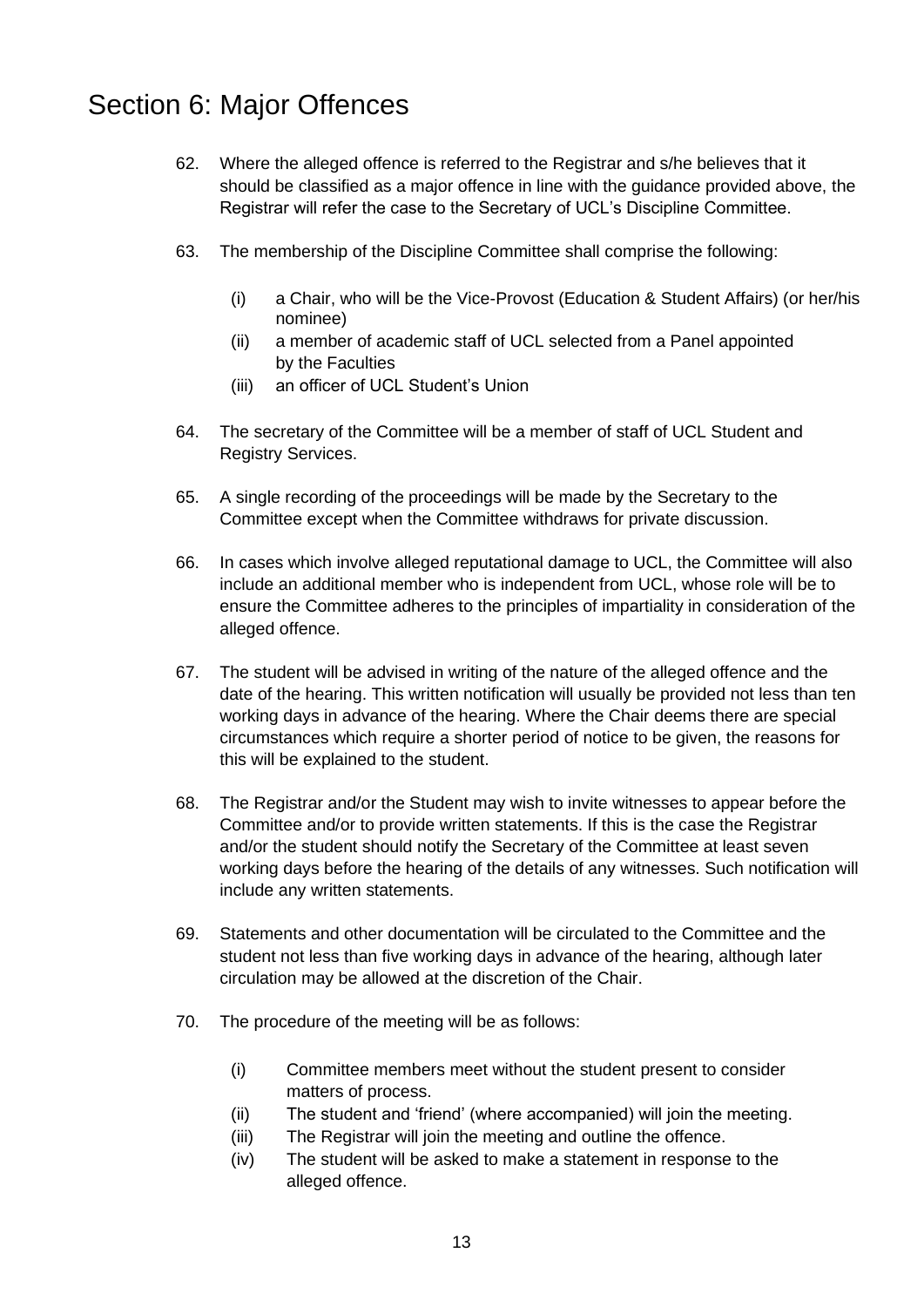### <span id="page-12-0"></span>Section 6: Major Offences

- 62. Where the alleged offence is referred to the Registrar and s/he believes that it should be classified as a major offence in line with the guidance provided above, the Registrar will refer the case to the Secretary of UCL's Discipline Committee.
- 63. The membership of the Discipline Committee shall comprise the following:
	- (i) a Chair, who will be the Vice-Provost (Education & Student Affairs) (or her/his nominee)
	- (ii) a member of academic staff of UCL selected from a Panel appointed by the Faculties
	- (iii) an officer of UCL Student's Union
- 64. The secretary of the Committee will be a member of staff of UCL Student and Registry Services.
- 65. A single recording of the proceedings will be made by the Secretary to the Committee except when the Committee withdraws for private discussion.
- 66. In cases which involve alleged reputational damage to UCL, the Committee will also include an additional member who is independent from UCL, whose role will be to ensure the Committee adheres to the principles of impartiality in consideration of the alleged offence.
- 67. The student will be advised in writing of the nature of the alleged offence and the date of the hearing. This written notification will usually be provided not less than ten working days in advance of the hearing. Where the Chair deems there are special circumstances which require a shorter period of notice to be given, the reasons for this will be explained to the student.
- 68. The Registrar and/or the Student may wish to invite witnesses to appear before the Committee and/or to provide written statements. If this is the case the Registrar and/or the student should notify the Secretary of the Committee at least seven working days before the hearing of the details of any witnesses. Such notification will include any written statements.
- 69. Statements and other documentation will be circulated to the Committee and the student not less than five working days in advance of the hearing, although later circulation may be allowed at the discretion of the Chair.
- 70. The procedure of the meeting will be as follows:
	- (i) Committee members meet without the student present to consider matters of process.
	- (ii) The student and 'friend' (where accompanied) will join the meeting.
	- (iii) The Registrar will join the meeting and outline the offence.
	- (iv) The student will be asked to make a statement in response to the alleged offence.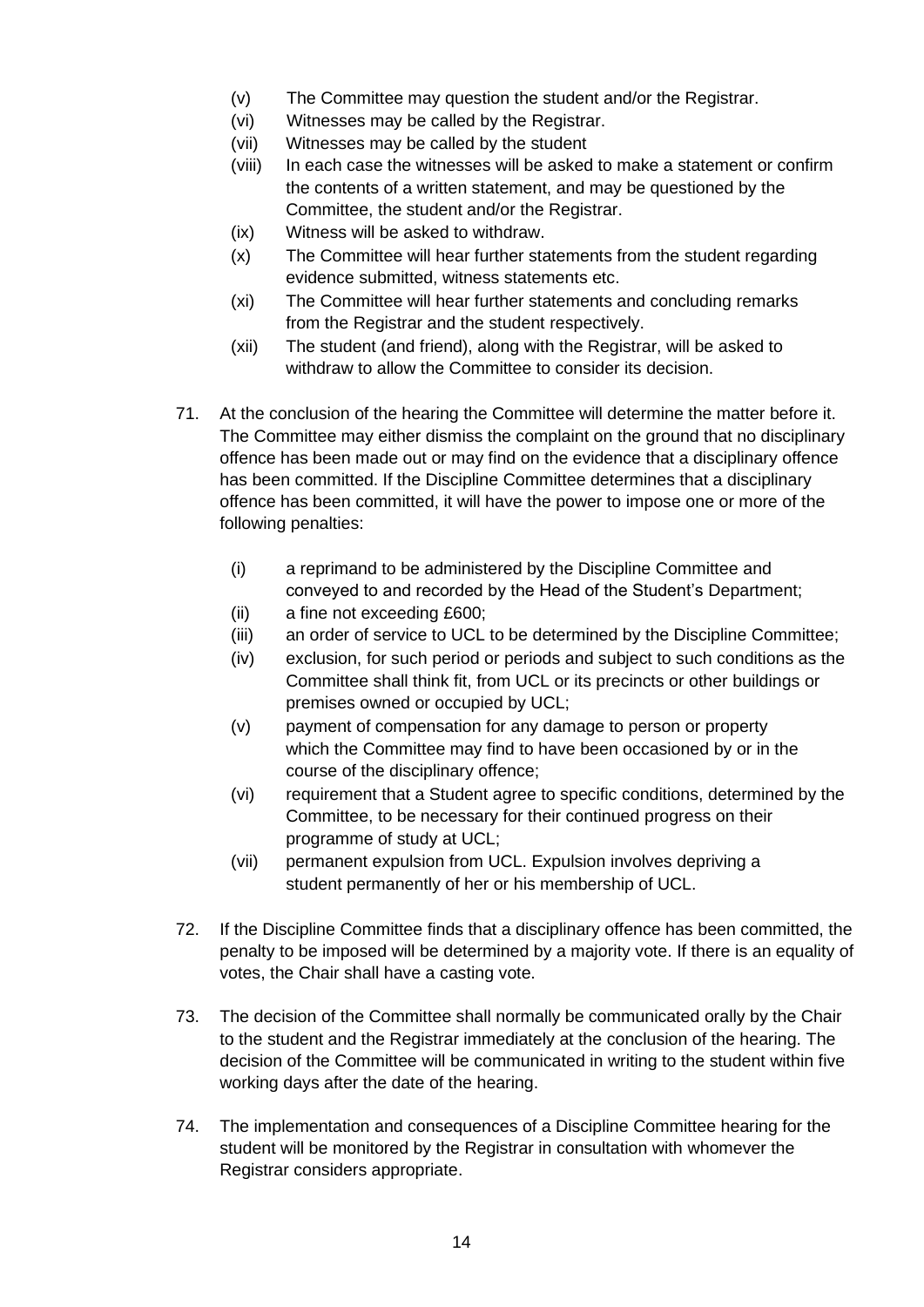- (v) The Committee may question the student and/or the Registrar.
- (vi) Witnesses may be called by the Registrar.
- (vii) Witnesses may be called by the student
- (viii) In each case the witnesses will be asked to make a statement or confirm the contents of a written statement, and may be questioned by the Committee, the student and/or the Registrar.
- (ix) Witness will be asked to withdraw.
- (x) The Committee will hear further statements from the student regarding evidence submitted, witness statements etc.
- (xi) The Committee will hear further statements and concluding remarks from the Registrar and the student respectively.
- (xii) The student (and friend), along with the Registrar, will be asked to withdraw to allow the Committee to consider its decision
- 71. At the conclusion of the hearing the Committee will determine the matter before it. The Committee may either dismiss the complaint on the ground that no disciplinary offence has been made out or may find on the evidence that a disciplinary offence has been committed. If the Discipline Committee determines that a disciplinary offence has been committed, it will have the power to impose one or more of the following penalties:
	- (i) a reprimand to be administered by the Discipline Committee and conveyed to and recorded by the Head of the Student's Department;
	- (ii) a fine not exceeding £600;
	- (iii) an order of service to UCL to be determined by the Discipline Committee;
	- (iv) exclusion, for such period or periods and subject to such conditions as the Committee shall think fit, from UCL or its precincts or other buildings or premises owned or occupied by UCL;
	- (v) payment of compensation for any damage to person or property which the Committee may find to have been occasioned by or in the course of the disciplinary offence;
	- (vi) requirement that a Student agree to specific conditions, determined by the Committee, to be necessary for their continued progress on their programme of study at UCL;
	- (vii) permanent expulsion from UCL. Expulsion involves depriving a student permanently of her or his membership of UCL.
- 72. If the Discipline Committee finds that a disciplinary offence has been committed, the penalty to be imposed will be determined by a majority vote. If there is an equality of votes, the Chair shall have a casting vote.
- 73. The decision of the Committee shall normally be communicated orally by the Chair to the student and the Registrar immediately at the conclusion of the hearing. The decision of the Committee will be communicated in writing to the student within five working days after the date of the hearing.
- 74. The implementation and consequences of a Discipline Committee hearing for the student will be monitored by the Registrar in consultation with whomever the Registrar considers appropriate.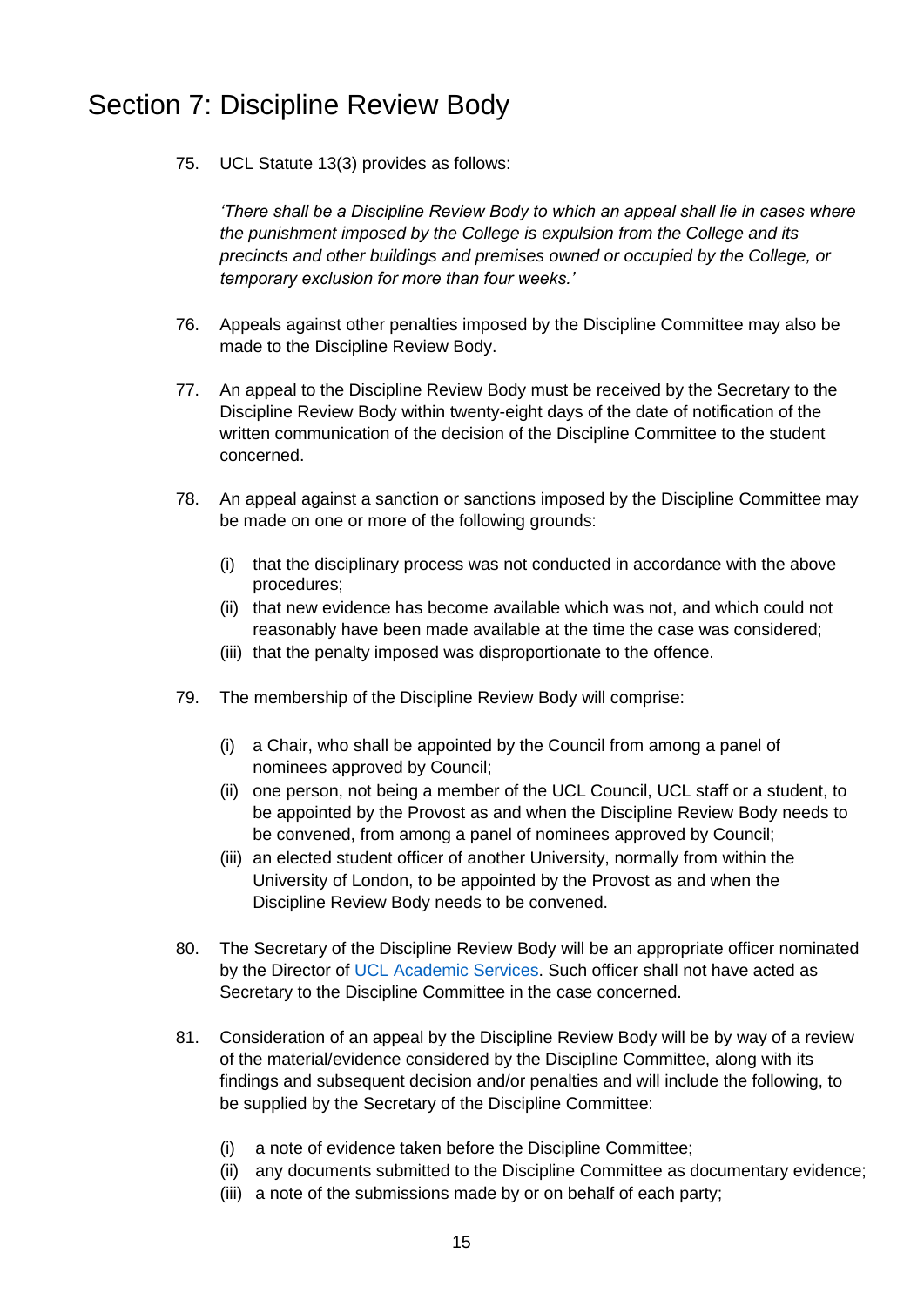# <span id="page-14-0"></span>Section 7: Discipline Review Body

75. UCL Statute 13(3) provides as follows:

*'There shall be a Discipline Review Body to which an appeal shall lie in cases where the punishment imposed by the College is expulsion from the College and its precincts and other buildings and premises owned or occupied by the College, or temporary exclusion for more than four weeks.'*

- 76. Appeals against other penalties imposed by the Discipline Committee may also be made to the Discipline Review Body.
- 77. An appeal to the Discipline Review Body must be received by the Secretary to the Discipline Review Body within twenty-eight days of the date of notification of the written communication of the decision of the Discipline Committee to the student concerned.
- 78. An appeal against a sanction or sanctions imposed by the Discipline Committee may be made on one or more of the following grounds:
	- (i) that the disciplinary process was not conducted in accordance with the above procedures;
	- (ii) that new evidence has become available which was not, and which could not reasonably have been made available at the time the case was considered;
	- (iii) that the penalty imposed was disproportionate to the offence.
- 79. The membership of the Discipline Review Body will comprise:
	- (i) a Chair, who shall be appointed by the Council from among a panel of nominees approved by Council;
	- (ii) one person, not being a member of the UCL Council, UCL staff or a student, to be appointed by the Provost as and when the Discipline Review Body needs to be convened, from among a panel of nominees approved by Council;
	- (iii) an elected student officer of another University, normally from within the University of London, to be appointed by the Provost as and when the Discipline Review Body needs to be convened.
- 80. The Secretary of the Discipline Review Body will be an appropriate officer nominated by the Director of [UCL Academic Services.](mailto:AcadServ.Secretariat%20%3cacademic.services@ucl.ac.uk%3e) Such officer shall not have acted as Secretary to the Discipline Committee in the case concerned.
- 81. Consideration of an appeal by the Discipline Review Body will be by way of a review of the material/evidence considered by the Discipline Committee, along with its findings and subsequent decision and/or penalties and will include the following, to be supplied by the Secretary of the Discipline Committee:
	- (i) a note of evidence taken before the Discipline Committee;
	- (ii) any documents submitted to the Discipline Committee as documentary evidence;
	- (iii) a note of the submissions made by or on behalf of each party;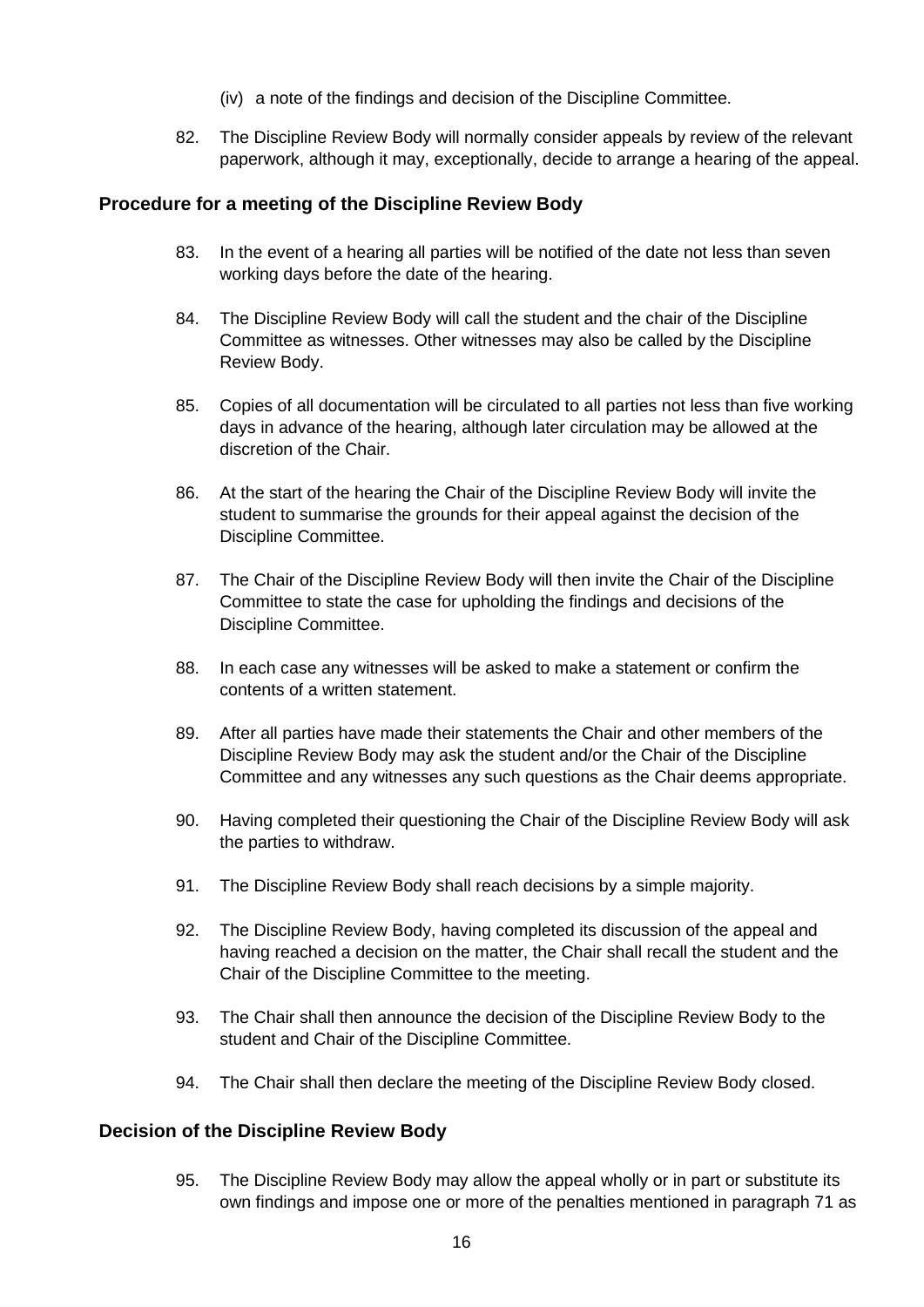- (iv) a note of the findings and decision of the Discipline Committee.
- 82. The Discipline Review Body will normally consider appeals by review of the relevant paperwork, although it may, exceptionally, decide to arrange a hearing of the appeal.

#### **Procedure for a meeting of the Discipline Review Body**

- 83. In the event of a hearing all parties will be notified of the date not less than seven working days before the date of the hearing.
- 84. The Discipline Review Body will call the student and the chair of the Discipline Committee as witnesses. Other witnesses may also be called by the Discipline Review Body.
- 85. Copies of all documentation will be circulated to all parties not less than five working days in advance of the hearing, although later circulation may be allowed at the discretion of the Chair.
- 86. At the start of the hearing the Chair of the Discipline Review Body will invite the student to summarise the grounds for their appeal against the decision of the Discipline Committee.
- 87. The Chair of the Discipline Review Body will then invite the Chair of the Discipline Committee to state the case for upholding the findings and decisions of the Discipline Committee.
- 88. In each case any witnesses will be asked to make a statement or confirm the contents of a written statement.
- 89. After all parties have made their statements the Chair and other members of the Discipline Review Body may ask the student and/or the Chair of the Discipline Committee and any witnesses any such questions as the Chair deems appropriate.
- 90. Having completed their questioning the Chair of the Discipline Review Body will ask the parties to withdraw.
- 91. The Discipline Review Body shall reach decisions by a simple majority.
- 92. The Discipline Review Body, having completed its discussion of the appeal and having reached a decision on the matter, the Chair shall recall the student and the Chair of the Discipline Committee to the meeting.
- 93. The Chair shall then announce the decision of the Discipline Review Body to the student and Chair of the Discipline Committee.
- 94. The Chair shall then declare the meeting of the Discipline Review Body closed.

#### **Decision of the Discipline Review Body**

95. The Discipline Review Body may allow the appeal wholly or in part or substitute its own findings and impose one or more of the penalties mentioned in paragraph 71 as